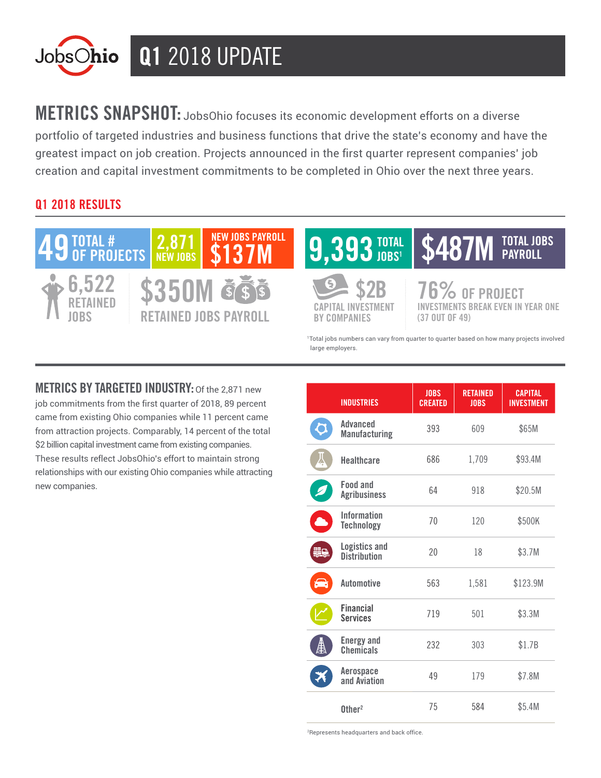

METRICS SNAPSHOT: JobsOhio focuses its economic development efforts on a diverse portfolio of targeted industries and business functions that drive the state's economy and have the greatest impact on job creation. Projects announced in the first quarter represent companies' job creation and capital investment commitments to be completed in Ohio over the next three years.

## Q1 2018 RESULTS



**METRICS BY TARGETED INDUSTRY: Of the 2.871 new** job commitments from the first quarter of 2018, 89 percent came from existing Ohio companies while 11 percent came from attraction projects. Comparably, 14 percent of the total \$2 billion capital investment came from existing companies. These results reflect JobsOhio's effort to maintain strong relationships with our existing Ohio companies while attracting new companies.

|           | <b>INDUSTRIES</b>                           | <b>JOBS</b><br><b>CREATED</b> | <b>RETAINED</b><br><b>JOBS</b> | <b>CAPITAL</b><br><b>INVESTMENT</b> |
|-----------|---------------------------------------------|-------------------------------|--------------------------------|-------------------------------------|
|           | Advanced<br><b>Manufacturing</b>            | 393                           | 609                            | \$65M                               |
|           | <b>Healthcare</b>                           | 686                           | 1,709                          | \$93.4M                             |
|           | <b>Food and</b><br><b>Agribusiness</b>      | 64                            | 918                            | \$20.5M                             |
|           | <b>Information</b><br><b>Technology</b>     | 70                            | 120                            | \$500K                              |
| <b>WW</b> | <b>Logistics and</b><br><b>Distribution</b> | 20                            | 18                             | \$3.7M                              |
| 合         | <b>Automotive</b>                           | 563                           | 1,581                          | \$123.9M                            |
|           | <b>Financial</b><br><b>Services</b>         | 719                           | 501                            | \$3.3M                              |
| Ê         | <b>Energy and</b><br><b>Chemicals</b>       | 232                           | 303                            | \$1.7B                              |
|           | Aerospace<br>and Aviation                   | 49                            | 179                            | \$7.8M                              |
|           | $0$ ther <sup>2</sup>                       | 75                            | 584                            | \$5.4M                              |

<sup>2</sup>Represents headquarters and back office.